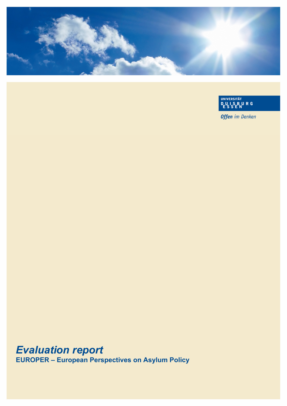

UNIVERSITÄT<br>DUISBURG<br>ESSEN

**Offen** im Denken

# *Evaluation report*

**EUROPER – European Perspectives on Asylum Policy**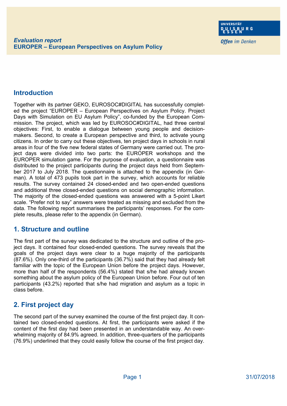**Offen** im Denken

### **Introduction**

Together with its partner GEKO, EUROSOC#DIGITAL has successfully completed the project "EUROPER – European Perspectives on Asylum Policy. Project Days with Simulation on EU Asylum Policy", co-funded by the European Commission. The project, which was led by EUROSOC#DIGITAL, had three central objectives: First, to enable a dialogue between young people and decisionmakers. Second, to create a European perspective and third, to activate young citizens. In order to carry out these objectives, ten project days in schools in rural areas in four of the five new federal states of Germany were carried out. The project days were divided into two parts: the EUROPER workshops and the EUROPER simulation game. For the purpose of evaluation, a questionnaire was distributed to the project participants during the project days held from September 2017 to July 2018. The questionnaire is attached to the appendix (in German). A total of 473 pupils took part in the survey, which accounts for reliable results. The survey contained 24 closed-ended and two open-ended questions and additional three closed-ended questions on social demographic information. The majority of the closed-ended questions was answered with a 5-point Likert scale. "Prefer not to say" answers were treated as missing and excluded from the data. The following report summarises the participants' responses. For the complete results, please refer to the appendix (in German).

#### **1. Structure and outline**

The first part of the survey was dedicated to the structure and outline of the project days. It contained four closed-ended questions. The survey reveals that the goals of the project days were clear to a huge majority of the participants (87.6%). Only one-third of the participants (36.7%) said that they had already felt familiar with the topic of the European Union before the project days. However, more than half of the respondents (56.4%) stated that s/he had already known something about the asylum policy of the European Union before. Four out of ten participants (43.2%) reported that s/he had migration and asylum as a topic in class before.

## **2. First project day**

The second part of the survey examined the course of the first project day. It contained two closed-ended questions. At first, the participants were asked if the content of the first day had been presented in an understandable way. An overwhelming majority of 84.9% agreed. In addition, three-quarters of the participants (76.9%) underlined that they could easily follow the course of the first project day.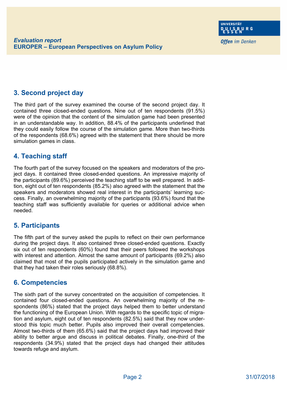## **3. Second project day**

The third part of the survey examined the course of the second project day. It contained three closed-ended questions. Nine out of ten respondents (91.5%) were of the opinion that the content of the simulation game had been presented in an understandable way. In addition, 88.4% of the participants underlined that they could easily follow the course of the simulation game. More than two-thirds of the respondents (68.6%) agreed with the statement that there should be more simulation games in class.

#### **4. Teaching staff**

The fourth part of the survey focused on the speakers and moderators of the project days. It contained three closed-ended questions. An impressive majority of the participants (89.6%) perceived the teaching staff to be well prepared. In addition, eight out of ten respondents (85.2%) also agreed with the statement that the speakers and moderators showed real interest in the participants' learning success. Finally, an overwhelming majority of the participants (93.6%) found that the teaching staff was sufficiently available for queries or additional advice when needed.

#### **5. Participants**

The fifth part of the survey asked the pupils to reflect on their own performance during the project days. It also contained three closed-ended questions. Exactly six out of ten respondents (60%) found that their peers followed the workshops with interest and attention. Almost the same amount of participants (69.2%) also claimed that most of the pupils participated actively in the simulation game and that they had taken their roles seriously (68.8%).

#### **6. Competencies**

The sixth part of the survey concentrated on the acquisition of competencies. It contained four closed-ended questions. An overwhelming majority of the respondents (86%) stated that the project days helped them to better understand the functioning of the European Union. With regards to the specific topic of migration and asylum, eight out of ten respondents (82.5%) said that they now understood this topic much better. Pupils also improved their overall competencies. Almost two-thirds of them (65.6%) said that the project days had improved their ability to better argue and discuss in political debates. Finally, one-third of the respondents (34.9%) stated that the project days had changed their attitudes towards refuge and asylum.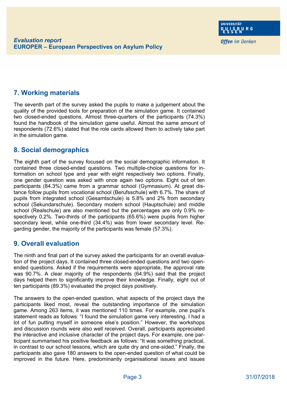## **7. Working materials**

The seventh part of the survey asked the pupils to make a judgement about the quality of the provided tools for preparation of the simulation game. It contained two closed-ended questions. Almost three-quarters of the participants (74.3%) found the handbook of the simulation game useful. Almost the same amount of respondents (72.6%) stated that the role cards allowed them to actively take part in the simulation game.

#### **8. Social demographics**

The eighth part of the survey focused on the social demographic information. It contained three closed-ended questions. Two multiple-choice questions for information on school type and year with eight respectively two options. Finally, one gender question was asked with once again two options. Eight out of ten participants (84.3%) came from a grammar school (Gymnasium). At great distance follow pupils from vocational school (Berufsschule) with 6.7%. The share of pupils from integrated school (Gesamtschule) is 5.8% and 2% from secondary school (Sekundarschule). Secondary modern school (Hauptschule) and middle school (Realschule) are also mentioned but the percentages are only 0.9% respectively 0.2%. Two-thirds of the participants (65.6%) were pupils from higher secondary level, while one-third (34.4%) was from lower secondary level. Regarding gender, the majority of the participants was female (57.3%).

#### **9. Overall evaluation**

The ninth and final part of the survey asked the participants for an overall evaluation of the project days. It contained three closed-ended questions and two openended questions. Asked if the requirements were appropriate, the approval rate was 90.7%. A clear majority of the respondents (64.9%) said that the project days helped them to significantly improve their knowledge. Finally, eight out of ten participants (89.3%) evaluated the project days positively.

The answers to the open-ended question, what aspects of the project days the participants liked most, reveal the outstanding importance of the simulation game. Among 263 items, it was mentioned 110 times. For example, one pupil's statement reads as follows: "I found the simulation game very interesting. I had a lot of fun putting myself in someone else's position." However, the workshops and discussion rounds were also well received. Overall, participants appreciated the interactive and inclusive character of the project days. For example, one participant summarised his positive feedback as follows: "It was something practical, in contrast to our school lessons, which are quite dry and one-sided." Finally, the participants also gave 180 answers to the open-ended question of what could be improved in the future. Here, predominantly organisational issues and issues